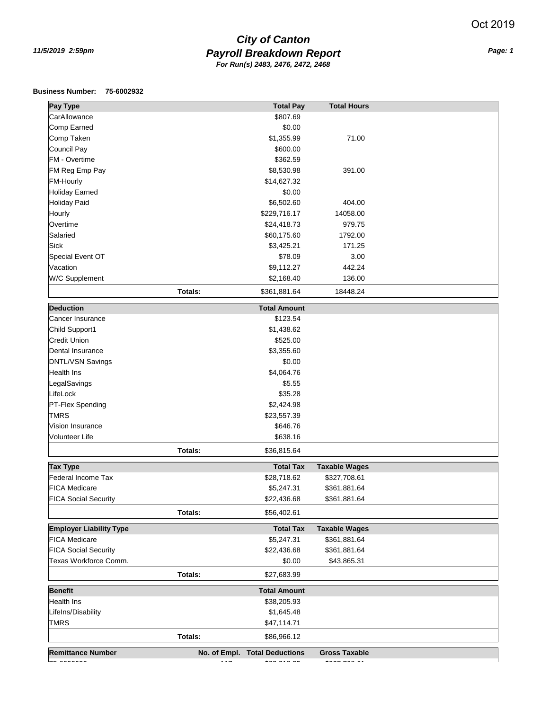## *Payroll Breakdown Report 11/5/2019 2:59pm Page: 1 City of Canton For Run(s) 2483, 2476, 2472, 2468*

## **Business Number: 75-6002932**

| Pay Type                       |                        | <b>Total Pay</b>              | <b>Total Hours</b>   |  |
|--------------------------------|------------------------|-------------------------------|----------------------|--|
| CarAllowance                   |                        | \$807.69                      |                      |  |
| Comp Earned                    |                        | \$0.00                        |                      |  |
| Comp Taken                     |                        | \$1,355.99                    | 71.00                |  |
| Council Pay                    |                        | \$600.00                      |                      |  |
| FM - Overtime                  |                        | \$362.59                      |                      |  |
| FM Reg Emp Pay                 |                        | \$8,530.98                    | 391.00               |  |
| <b>FM-Hourly</b>               |                        | \$14,627.32                   |                      |  |
| <b>Holiday Earned</b>          |                        | \$0.00                        |                      |  |
| <b>Holiday Paid</b>            |                        | \$6,502.60                    | 404.00               |  |
| Hourly                         |                        | \$229,716.17                  | 14058.00             |  |
| Overtime                       |                        | \$24,418.73                   | 979.75               |  |
| Salaried                       |                        | \$60,175.60                   | 1792.00              |  |
| <b>Sick</b>                    |                        | \$3,425.21                    | 171.25               |  |
| Special Event OT               |                        | \$78.09                       | 3.00                 |  |
| Vacation                       |                        | \$9,112.27                    | 442.24               |  |
| W/C Supplement                 |                        | \$2,168.40                    | 136.00               |  |
|                                | Totals:                |                               |                      |  |
|                                |                        | \$361,881.64                  | 18448.24             |  |
| <b>Deduction</b>               |                        | <b>Total Amount</b>           |                      |  |
| Cancer Insurance               |                        | \$123.54                      |                      |  |
| Child Support1                 |                        | \$1,438.62                    |                      |  |
| <b>Credit Union</b>            |                        | \$525.00                      |                      |  |
| Dental Insurance               |                        | \$3,355.60                    |                      |  |
| <b>DNTL/VSN Savings</b>        |                        | \$0.00                        |                      |  |
| Health Ins                     |                        | \$4,064.76                    |                      |  |
| LegalSavings                   |                        | \$5.55                        |                      |  |
| LifeLock                       |                        | \$35.28                       |                      |  |
| PT-Flex Spending               |                        | \$2,424.98                    |                      |  |
| <b>TMRS</b>                    |                        | \$23,557.39                   |                      |  |
| Vision Insurance               |                        | \$646.76                      |                      |  |
| Volunteer Life                 |                        | \$638.16                      |                      |  |
|                                | Totals:                | \$36,815.64                   |                      |  |
| <b>Tax Type</b>                |                        | <b>Total Tax</b>              | <b>Taxable Wages</b> |  |
| Federal Income Tax             |                        | \$28,718.62                   | \$327,708.61         |  |
| <b>FICA Medicare</b>           |                        | \$5,247.31                    | \$361,881.64         |  |
| <b>FICA Social Security</b>    |                        | \$22,436.68                   | \$361,881.64         |  |
|                                | Totals:                | \$56,402.61                   |                      |  |
| <b>Employer Liability Type</b> |                        | <b>Total Tax</b>              | <b>Taxable Wages</b> |  |
| <b>FICA Medicare</b>           |                        | \$5,247.31                    | \$361,881.64         |  |
| <b>FICA Social Security</b>    |                        | \$22,436.68                   | \$361,881.64         |  |
| Texas Workforce Comm.          |                        | \$0.00                        | \$43,865.31          |  |
|                                | Totals:                | \$27,683.99                   |                      |  |
|                                |                        |                               |                      |  |
| <b>Benefit</b>                 |                        | <b>Total Amount</b>           |                      |  |
| <b>Health Ins</b>              |                        | \$38,205.93                   |                      |  |
| LifeIns/Disability             |                        | \$1,645.48                    |                      |  |
| <b>TMRS</b>                    |                        | \$47,114.71                   |                      |  |
|                                | Totals:                | \$86,966.12                   |                      |  |
| <b>Remittance Number</b>       |                        | No. of Empl. Total Deductions | <b>Gross Taxable</b> |  |
| $ -$                           | $\cdot$ $\cdot$ $\sim$ | $\cdots$                      | $\cdots$             |  |